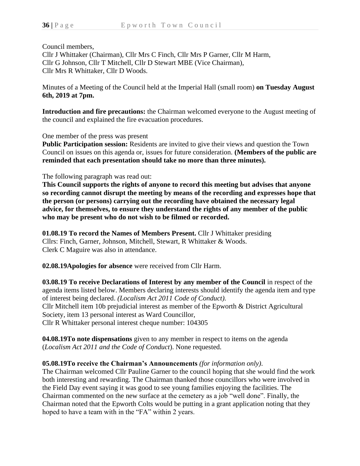Council members,

Cllr J Whittaker (Chairman), Cllr Mrs C Finch, Cllr Mrs P Garner, Cllr M Harm, Cllr G Johnson, Cllr T Mitchell, Cllr D Stewart MBE (Vice Chairman), Cllr Mrs R Whittaker, Cllr D Woods.

Minutes of a Meeting of the Council held at the Imperial Hall (small room) **on Tuesday August 6th, 2019 at 7pm.**

**Introduction and fire precautions:** the Chairman welcomed everyone to the August meeting of the council and explained the fire evacuation procedures.

One member of the press was present

**Public Participation session:** Residents are invited to give their views and question the Town Council on issues on this agenda or, issues for future consideration. **(Members of the public are reminded that each presentation should take no more than three minutes).**

The following paragraph was read out:

**This Council supports the rights of anyone to record this meeting but advises that anyone so recording cannot disrupt the meeting by means of the recording and expresses hope that the person (or persons) carrying out the recording have obtained the necessary legal advice, for themselves, to ensure they understand the rights of any member of the public who may be present who do not wish to be filmed or recorded.**

**01.08.19 To record the Names of Members Present.** Cllr J Whittaker presiding Cllrs: Finch, Garner, Johnson, Mitchell, Stewart, R Whittaker & Woods. Clerk C Maguire was also in attendance.

**02.08.19Apologies for absence** were received from Cllr Harm.

**03.08.19 To receive Declarations of Interest by any member of the Council** in respect of the agenda items listed below. Members declaring interests should identify the agenda item and type of interest being declared. *(Localism Act 2011 Code of Conduct).* Cllr Mitchell item 10b prejudicial interest as member of the Epworth & District Agricultural Society, item 13 personal interest as Ward Councillor, Cllr R Whittaker personal interest cheque number: 104305

**04.08.19To note dispensations** given to any member in respect to items on the agenda (*Localism Act 2011 and the Code of Conduct*). None requested.

### **05.08.19To receive the Chairman's Announcements** *(for information only)*.

The Chairman welcomed Cllr Pauline Garner to the council hoping that she would find the work both interesting and rewarding. The Chairman thanked those councillors who were involved in the Field Day event saying it was good to see young families enjoying the facilities. The Chairman commented on the new surface at the cemetery as a job "well done". Finally, the Chairman noted that the Epworth Colts would be putting in a grant application noting that they hoped to have a team with in the "FA" within 2 years.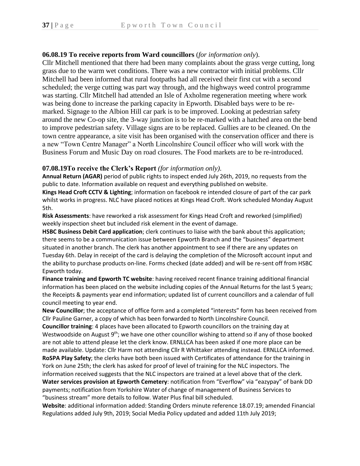## **06.08.19 To receive reports from Ward councillors** (*for information only*).

Cllr Mitchell mentioned that there had been many complaints about the grass verge cutting, long grass due to the warm wet conditions. There was a new contractor with initial problems. Cllr Mitchell had been informed that rural footpaths had all received their first cut with a second scheduled; the verge cutting was part way through, and the highways weed control programme was starting. Cllr Mitchell had attended an Isle of Axholme regeneration meeting where work was being done to increase the parking capacity in Epworth. Disabled bays were to be remarked. Signage to the Albion Hill car park is to be improved. Looking at pedestrian safety around the new Co-op site, the 3-way junction is to be re-marked with a hatched area on the bend to improve pedestrian safety. Village signs are to be replaced. Gullies are to be cleaned. On the town centre appearance, a site visit has been organised with the conservation officer and there is a new "Town Centre Manager" a North Lincolnshire Council officer who will work with the Business Forum and Music Day on road closures. The Food markets are to be re-introduced.

#### **07.08.19To receive the Clerk's Report** *(for information only).*

**Annual Return (AGAR)** period of public rights to inspect ended July 26th, 2019, no requests from the public to date. Information available on request and everything published on website.

**Kings Head Croft CCTV & Lighting**; information on facebook re intended closure of part of the car park whilst works in progress. NLC have placed notices at Kings Head Croft. Work scheduled Monday August 5th.

**Risk Assessments**: have reworked a risk assessment for Kings Head Croft and reworked (simplified) weekly inspection sheet but included risk element in the event of damage.

**HSBC Business Debit Card application**; clerk continues to liaise with the bank about this application; there seems to be a communication issue between Epworth Branch and the "business" department situated in another branch. The clerk has another appointment to see if there are any updates on Tuesday 6th. Delay in receipt of the card is delaying the completion of the Microsoft account input and the ability to purchase products on-line. Forms checked (date added) and will be re-sent off from HSBC Epworth today.

**Finance training and Epworth TC website**: having received recent finance training additional financial information has been placed on the website including copies of the Annual Returns for the last 5 years; the Receipts & payments year end information; updated list of current councillors and a calendar of full council meeting to year end.

**New Councillor**; the acceptance of office form and a completed "interests" form has been received from Cllr Pauline Garner, a copy of which has been forwarded to North Lincolnshire Council.

**Councillor training**: 4 places have been allocated to Epworth councillors on the training day at Westwoodside on August 9<sup>th</sup>; we have one other councillor wishing to attend so if any of those booked are not able to attend please let the clerk know. ERNLLCA has been asked if one more place can be made available. Update: Cllr Harm not attending Cllr R Whittaker attending instead. ERNLLCA informed. **RoSPA Play Safety**; the clerks have both been issued with Certificates of attendance for the training in

York on June 25th; the clerk has asked for proof of level of training for the NLC inspectors. The information received suggests that the NLC inspectors are trained at a level above that of the clerk.

**Water services provision at Epworth Cemetery**: notification from "Everflow" via "eazypay" of bank DD payments; notification from Yorkshire Water of change of management of Business Services to "business stream" more details to follow. Water Plus final bill scheduled.

**Website**: additional information added: Standing Orders minute reference 18.07.19; amended Financial Regulations added July 9th, 2019; Social Media Policy updated and added 11th July 2019;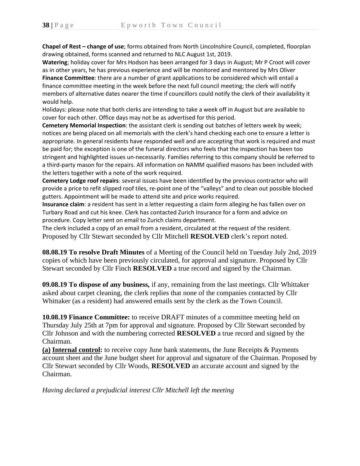**Chapel of Rest – change of use**; forms obtained from North Lincolnshire Council, completed, floorplan drawing obtained, forms scanned and returned to NLC August 1st, 2019.

**Watering**; holiday cover for Mrs Hodson has been arranged for 3 days in August; Mr P Croot will cover as in other years, he has previous experience and will be monitored and mentored by Mrs Oliver **Finance Committee**: there are a number of grant applications to be considered which will entail a finance committee meeting in the week before the next full council meeting; the clerk will notify members of alternative dates nearer the time if councillors could notify the clerk of their availability it would help.

Holidays: please note that both clerks are intending to take a week off in August but are available to cover for each other. Office days may not be as advertised for this period.

**Cemetery Memorial Inspection**: the assistant clerk is sending out batches of letters week by week; notices are being placed on all memorials with the clerk's hand checking each one to ensure a letter is appropriate. In general residents have responded well and are accepting that work is required and must be paid for; the exception is one of the funeral directors who feels that the inspection has been too stringent and highlighted issues un-necessarily. Families referring to this company should be referred to a third-party mason for the repairs. All information on NAMM qualified masons has been included with the letters together with a note of the work required.

**Cemetery Lodge roof repairs**: several issues have been identified by the previous contractor who will provide a price to refit slipped roof tiles, re-point one of the "valleys" and to clean out possible blocked gutters. Appointment will be made to attend site and price works required.

**Insurance claim**: a resident has sent in a letter requesting a claim form alleging he has fallen over on Turbary Road and cut his knee. Clerk has contacted Zurich Insurance for a form and advice on procedure. Copy letter sent on email to Zurich claims department.

The clerk included a copy of an email from a resident, circulated at the request of the resident. Proposed by Cllr Stewart seconded by Cllr Mitchell **RESOLVED** clerk's report noted.

**08.08.19 To resolve Draft Minutes** of a Meeting of the Council held on Tuesday July 2nd, 2019 copies of which have been previously circulated, for approval and signature. Proposed by Cllr Stewart seconded by Cllr Finch **RESOLVED** a true record and signed by the Chairman.

**09.08.19 To dispose of any business,** if any, remaining from the last meetings. Cllr Whittaker asked about carpet cleaning, the clerk replies that none of the companies contacted by Cllr Whittaker (as a resident) had answered emails sent by the clerk as the Town Council.

**10.08.19 Finance Committee:** to receive DRAFT minutes of a committee meeting held on Thursday July 25th at 7pm for approval and signature. Proposed by Cllr Stewart seconded by Cllr Johnson and with the numbering corrected **RESOLVED** a true record and signed by the Chairman.

**(a) Internal control:** to receive copy June bank statements, the June Receipts & Payments account sheet and the June budget sheet for approval and signature of the Chairman. Proposed by Cllr Stewart seconded by Cllr Woods, **RESOLVED** an accurate account and signed by the Chairman.

*Having declared a prejudicial interest Cllr Mitchell left the meeting*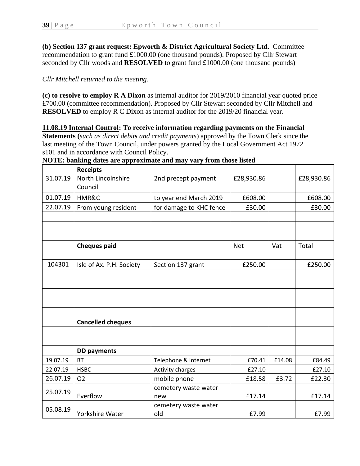**(b) Section 137 grant request: Epworth & District Agricultural Society Ltd**. Committee recommendation to grant fund £1000.00 (one thousand pounds). Proposed by Cllr Stewart seconded by Cllr woods and **RESOLVED** to grant fund £1000.00 (one thousand pounds)

## *Cllr Mitchell returned to the meeting.*

**(c) to resolve to employ R A Dixon** as internal auditor for 2019/2010 financial year quoted price £700.00 (committee recommendation). Proposed by Cllr Stewart seconded by Cllr Mitchell and **RESOLVED** to employ R C Dixon as internal auditor for the 2019/20 financial year.

**11.08.19 Internal Control: To receive information regarding payments on the Financial Statements (***such as direct debits and credit payments*) approved by the Town Clerk since the last meeting of the Town Council, under powers granted by the Local Government Act 1972 s101 and in accordance with Council Policy.

|          | <b>Receipts</b>               |                         |            |        |            |
|----------|-------------------------------|-------------------------|------------|--------|------------|
| 31.07.19 | North Lincolnshire<br>Council | 2nd precept payment     | £28,930.86 |        | £28,930.86 |
| 01.07.19 | HMR&C                         | to year end March 2019  | £608.00    |        | £608.00    |
| 22.07.19 | From young resident           | for damage to KHC fence | £30.00     |        | £30.00     |
|          |                               |                         |            |        |            |
|          |                               |                         |            |        |            |
|          |                               |                         |            |        |            |
|          | <b>Cheques paid</b>           |                         | <b>Net</b> | Vat    | Total      |
|          |                               |                         |            |        |            |
| 104301   | Isle of Ax. P.H. Society      | Section 137 grant       | £250.00    |        | £250.00    |
|          |                               |                         |            |        |            |
|          |                               |                         |            |        |            |
|          |                               |                         |            |        |            |
|          |                               |                         |            |        |            |
|          |                               |                         |            |        |            |
|          | <b>Cancelled cheques</b>      |                         |            |        |            |
|          |                               |                         |            |        |            |
|          |                               |                         |            |        |            |
|          | <b>DD payments</b>            |                         |            |        |            |
| 19.07.19 | <b>BT</b>                     | Telephone & internet    | £70.41     | £14.08 | £84.49     |
| 22.07.19 | <b>HSBC</b>                   | <b>Activity charges</b> | £27.10     |        | £27.10     |
| 26.07.19 | O <sub>2</sub>                | mobile phone            | £18.58     | £3.72  | £22.30     |
| 25.07.19 |                               | cemetery waste water    |            |        |            |
|          | Everflow                      | new                     | £17.14     |        | £17.14     |
| 05.08.19 |                               | cemetery waste water    |            |        |            |
|          | Yorkshire Water               | old                     | £7.99      |        | £7.99      |

**NOTE: banking dates are approximate and may vary from those listed**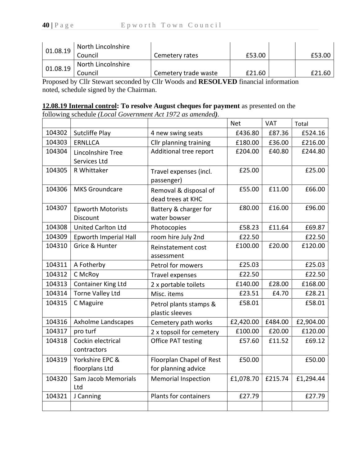| 01.08.19 | North Lincolnshire |                      |        |        |
|----------|--------------------|----------------------|--------|--------|
|          | Council            | Cemetery rates       | £53.00 | £53.00 |
| 01.08.19 | North Lincolnshire |                      |        |        |
|          | Council            | Cemetery trade waste | £21.60 | £21.60 |

Proposed by Cllr Stewart seconded by Cllr Woods and **RESOLVED** financial information noted, schedule signed by the Chairman.

# **12.08.19 Internal control: To resolve August cheques for payment** as presented on the

following schedule *(Local Government Act 1972 as amended).*

|        |                           |                            | <b>Net</b>        | <b>VAT</b> | Total     |
|--------|---------------------------|----------------------------|-------------------|------------|-----------|
| 104302 | Sutcliffe Play            | 4 new swing seats          | £436.80           | £87.36     | £524.16   |
| 104303 | <b>ERNLLCA</b>            | Cllr planning training     | £36.00<br>£180.00 |            | £216.00   |
| 104304 | Lincolnshire Tree         | Additional tree report     | £204.00           | £40.80     | £244.80   |
|        | Services Ltd              |                            |                   |            |           |
| 104305 | R Whittaker               | Travel expenses (incl.     | £25.00            |            | £25.00    |
|        |                           | passenger)                 |                   |            |           |
| 104306 | <b>MKS Groundcare</b>     | Removal & disposal of      | £55.00            | £11.00     | £66.00    |
|        |                           | dead trees at KHC          |                   |            |           |
| 104307 | <b>Epworth Motorists</b>  | Battery & charger for      | £80.00            | £16.00     | £96.00    |
|        | Discount                  | water bowser               |                   |            |           |
| 104308 | <b>United Carlton Ltd</b> | Photocopies                | £58.23            | £11.64     | £69.87    |
| 104309 | Epworth Imperial Hall     | room hire July 2nd         | £22.50            |            | £22.50    |
| 104310 | Grice & Hunter            | Reinstatement cost         | £100.00           | £20.00     | £120.00   |
|        |                           | assessment                 |                   |            |           |
| 104311 | A Fotherby                | Petrol for mowers          | £25.03            |            | £25.03    |
| 104312 | C McRoy                   | Travel expenses            | £22.50            |            | £22.50    |
| 104313 | Container King Ltd        | 2 x portable toilets       | £140.00           | £28.00     | £168.00   |
| 104314 | <b>Torne Valley Ltd</b>   | Misc. items                | £23.51            | £4.70      | £28.21    |
| 104315 | C Maguire                 | Petrol plants stamps &     | £58.01            |            | £58.01    |
|        |                           | plastic sleeves            |                   |            |           |
| 104316 | Axholme Landscapes        | Cemetery path works        | £2,420.00         | £484.00    | £2,904.00 |
| 104317 | pro turf                  | 2 x topsoil for cemetery   | £100.00           | £20.00     | £120.00   |
| 104318 | Cockin electrical         | <b>Office PAT testing</b>  | £57.60            | £11.52     | £69.12    |
|        | contractors               |                            |                   |            |           |
| 104319 | Yorkshire EPC &           | Floorplan Chapel of Rest   | £50.00            |            | £50.00    |
|        | floorplans Ltd            | for planning advice        |                   |            |           |
| 104320 | Sam Jacob Memorials       | <b>Memorial Inspection</b> | £1,078.70         | £215.74    | £1,294.44 |
|        | Ltd                       |                            |                   |            |           |
| 104321 | J Canning                 | Plants for containers      | £27.79            |            | £27.79    |
|        |                           |                            |                   |            |           |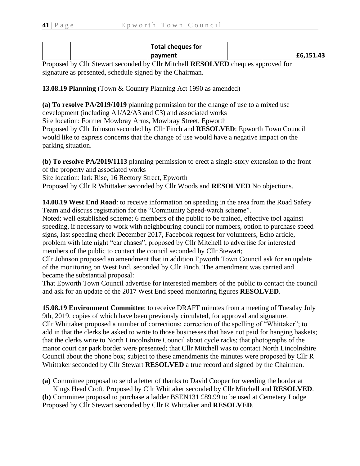| Total cheques for |           |
|-------------------|-----------|
| payment           | £6,151.43 |

Proposed by Cllr Stewart seconded by Cllr Mitchell **RESOLVED** cheques approved for signature as presented, schedule signed by the Chairman.

**13.08.19 Planning** (Town & Country Planning Act 1990 as amended)

**(a) To resolve PA/2019/1019** planning permission for the change of use to a mixed use development (including A1/A2/A3 and C3) and associated works Site location: Former Mowbray Arms, Mowbray Street, Epworth Proposed by Cllr Johnson seconded by Cllr Finch and **RESOLVED**: Epworth Town Council would like to express concerns that the change of use would have a negative impact on the parking situation.

**(b) To resolve PA/2019/1113** planning permission to erect a single-story extension to the front of the property and associated works Site location: lark Rise, 16 Rectory Street, Epworth Proposed by Cllr R Whittaker seconded by Cllr Woods and **RESOLVED** No objections.

**14.08.19 West End Road**: to receive information on speeding in the area from the Road Safety Team and discuss registration for the "Community Speed-watch scheme".

Noted: well established scheme; 6 members of the public to be trained, effective tool against speeding, if necessary to work with neighbouring council for numbers, option to purchase speed signs, last speeding check December 2017, Facebook request for volunteers, Echo article, problem with late night "car chases", proposed by Cllr Mitchell to advertise for interested members of the public to contact the council seconded by Cllr Stewart;

Cllr Johnson proposed an amendment that in addition Epworth Town Council ask for an update of the monitoring on West End, seconded by Cllr Finch. The amendment was carried and became the substantial proposal:

That Epworth Town Council advertise for interested members of the public to contact the council and ask for an update of the 2017 West End speed monitoring figures **RESOLVED**.

**15.08.19 Environment Committee**: to receive DRAFT minutes from a meeting of Tuesday July 9th, 2019, copies of which have been previously circulated, for approval and signature. Cllr Whittaker proposed a number of corrections: correction of the spelling of "Whittaker"; to add in that the clerks be asked to write to those businesses that have not paid for hanging baskets; that the clerks write to North Lincolnshire Council about cycle racks; that photographs of the manor court car park border were presented; that Cllr Mitchell was to contact North Lincolnshire Council about the phone box; subject to these amendments the minutes were proposed by Cllr R Whittaker seconded by Cllr Stewart **RESOLVED** a true record and signed by the Chairman.

**(a)** Committee proposal to send a letter of thanks to David Cooper for weeding the border at Kings Head Croft. Proposed by Cllr Whittaker seconded by Cllr Mitchell and **RESOLVED**. **(b)** Committee proposal to purchase a ladder BSEN131 £89.99 to be used at Cemetery Lodge Proposed by Cllr Stewart seconded by Cllr R Whittaker and **RESOLVED**.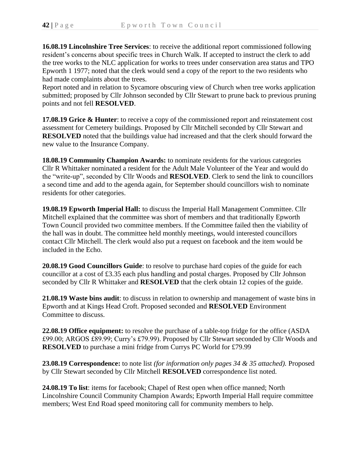**16.08.19 Lincolnshire Tree Services**: to receive the additional report commissioned following resident's concerns about specific trees in Church Walk. If accepted to instruct the clerk to add the tree works to the NLC application for works to trees under conservation area status and TPO Epworth 1 1977; noted that the clerk would send a copy of the report to the two residents who had made complaints about the trees.

Report noted and in relation to Sycamore obscuring view of Church when tree works application submitted; proposed by Cllr Johnson seconded by Cllr Stewart to prune back to previous pruning points and not fell **RESOLVED**.

**17.08.19 Grice & Hunter**: to receive a copy of the commissioned report and reinstatement cost assessment for Cemetery buildings. Proposed by Cllr Mitchell seconded by Cllr Stewart and **RESOLVED** noted that the buildings value had increased and that the clerk should forward the new value to the Insurance Company.

**18.08.19 Community Champion Awards:** to nominate residents for the various categories Cllr R Whittaker nominated a resident for the Adult Male Volunteer of the Year and would do the "write-up", seconded by Cllr Woods and **RESOLVED**. Clerk to send the link to councillors a second time and add to the agenda again, for September should councillors wish to nominate residents for other categories.

**19.08.19 Epworth Imperial Hall:** to discuss the Imperial Hall Management Committee. Cllr Mitchell explained that the committee was short of members and that traditionally Epworth Town Council provided two committee members. If the Committee failed then the viability of the hall was in doubt. The committee held monthly meetings, would interested councillors contact Cllr Mitchell. The clerk would also put a request on facebook and the item would be included in the Echo.

**20.08.19 Good Councillors Guide**: to resolve to purchase hard copies of the guide for each councillor at a cost of £3.35 each plus handling and postal charges. Proposed by Cllr Johnson seconded by Cllr R Whittaker and **RESOLVED** that the clerk obtain 12 copies of the guide.

**21.08.19 Waste bins audit**: to discuss in relation to ownership and management of waste bins in Epworth and at Kings Head Croft. Proposed seconded and **RESOLVED** Environment Committee to discuss.

**22.08.19 Office equipment:** to resolve the purchase of a table-top fridge for the office (ASDA £99.00; ARGOS £89.99; Curry's £79.99). Proposed by Cllr Stewart seconded by Cllr Woods and **RESOLVED** to purchase a mini fridge from Currys PC World for £79.99

**23.08.19 Correspondence:** to note list *(for information only pages 34 & 35 attached).* Proposed by Cllr Stewart seconded by Cllr Mitchell **RESOLVED** correspondence list noted.

**24.08.19 To list**: items for facebook; Chapel of Rest open when office manned; North Lincolnshire Council Community Champion Awards; Epworth Imperial Hall require committee members; West End Road speed monitoring call for community members to help.